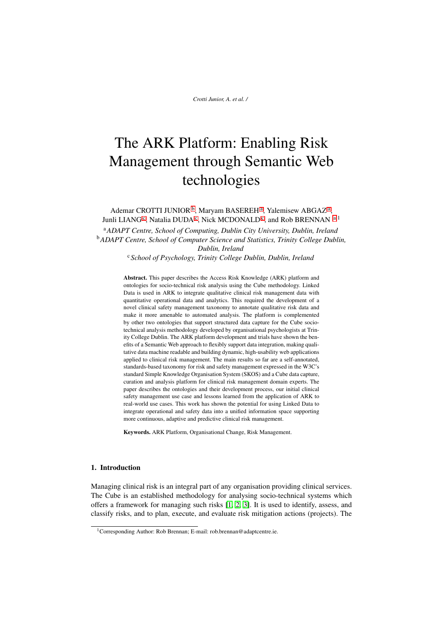# The ARK Platform: Enabling Risk Management through Semantic Web technologies

<span id="page-0-1"></span><span id="page-0-0"></span>Ademar CROTTI JUNIOR<sup>[b](#page-0-0)</sup>, M[a](#page-0-1)ryam BASEREH<sup>a</sup>, Yalemisew ABGAZ<sup>a</sup>, Junli LIANG<sup>[c](#page-0-2)</sup>, N[a](#page-0-1)talia DUDA<sup>c</sup>, Nick MCDONALD<sup>c</sup>, and Rob BRENNAN <sup>a,1</sup> <sup>a</sup>*ADAPT Centre, School of Computing, Dublin City University, Dublin, Ireland* <sup>b</sup>*ADAPT Centre, School of Computer Science and Statistics, Trinity College Dublin, Dublin, Ireland*

<span id="page-0-2"></span><sup>c</sup> *School of Psychology, Trinity College Dublin, Dublin, Ireland*

Abstract. This paper describes the Access Risk Knowledge (ARK) platform and ontologies for socio-technical risk analysis using the Cube methodology. Linked Data is used in ARK to integrate qualitative clinical risk management data with quantitative operational data and analytics. This required the development of a novel clinical safety management taxonomy to annotate qualitative risk data and make it more amenable to automated analysis. The platform is complemented by other two ontologies that support structured data capture for the Cube sociotechnical analysis methodology developed by organisational psychologists at Trinity College Dublin. The ARK platform development and trials have shown the benefits of a Semantic Web approach to flexibly support data integration, making qualitative data machine readable and building dynamic, high-usability web applications applied to clinical risk management. The main results so far are a self-annotated, standards-based taxonomy for risk and safety management expressed in the W3C's standard Simple Knowledge Organisation System (SKOS) and a Cube data capture, curation and analysis platform for clinical risk management domain experts. The paper describes the ontologies and their development process, our initial clinical safety management use case and lessons learned from the application of ARK to real-world use cases. This work has shown the potential for using Linked Data to integrate operational and safety data into a unified information space supporting more continuous, adaptive and predictive clinical risk management.

Keywords. ARK Platform, Organisational Change, Risk Management.

# 1. Introduction

Managing clinical risk is an integral part of any organisation providing clinical services. The Cube is an established methodology for analysing socio-technical systems which offers a framework for managing such risks [\[1,](#page-8-0) [2,](#page-9-0) [3\]](#page-9-1). It is used to identify, assess, and classify risks, and to plan, execute, and evaluate risk mitigation actions (projects). The

<sup>&</sup>lt;sup>1</sup>Corresponding Author: Rob Brennan; E-mail: rob.brennan@adaptcentre.ie.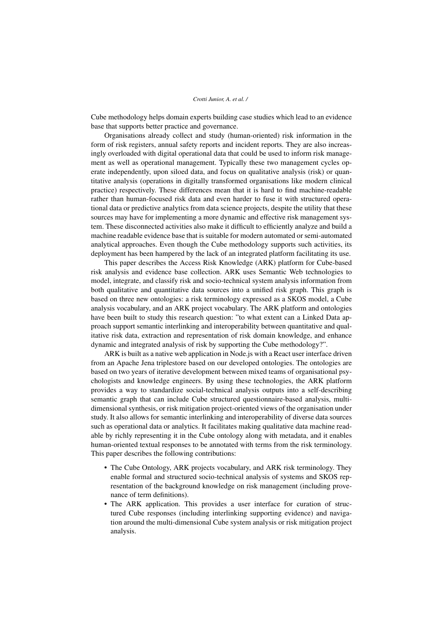Cube methodology helps domain experts building case studies which lead to an evidence base that supports better practice and governance.

Organisations already collect and study (human-oriented) risk information in the form of risk registers, annual safety reports and incident reports. They are also increasingly overloaded with digital operational data that could be used to inform risk management as well as operational management. Typically these two management cycles operate independently, upon siloed data, and focus on qualitative analysis (risk) or quantitative analysis (operations in digitally transformed organisations like modern clinical practice) respectively. These differences mean that it is hard to find machine-readable rather than human-focused risk data and even harder to fuse it with structured operational data or predictive analytics from data science projects, despite the utility that these sources may have for implementing a more dynamic and effective risk management system. These disconnected activities also make it difficult to efficiently analyze and build a machine readable evidence base that is suitable for modern automated or semi-automated analytical approaches. Even though the Cube methodology supports such activities, its deployment has been hampered by the lack of an integrated platform facilitating its use.

This paper describes the Access Risk Knowledge (ARK) platform for Cube-based risk analysis and evidence base collection. ARK uses Semantic Web technologies to model, integrate, and classify risk and socio-technical system analysis information from both qualitative and quantitative data sources into a unified risk graph. This graph is based on three new ontologies: a risk terminology expressed as a SKOS model, a Cube analysis vocabulary, and an ARK project vocabulary. The ARK platform and ontologies have been built to study this research question: "to what extent can a Linked Data approach support semantic interlinking and interoperability between quantitative and qualitative risk data, extraction and representation of risk domain knowledge, and enhance dynamic and integrated analysis of risk by supporting the Cube methodology?".

ARK is built as a native web application in Node.js with a React user interface driven from an Apache Jena triplestore based on our developed ontologies. The ontologies are based on two years of iterative development between mixed teams of organisational psychologists and knowledge engineers. By using these technologies, the ARK platform provides a way to standardize social-technical analysis outputs into a self-describing semantic graph that can include Cube structured questionnaire-based analysis, multidimensional synthesis, or risk mitigation project-oriented views of the organisation under study. It also allows for semantic interlinking and interoperability of diverse data sources such as operational data or analytics. It facilitates making qualitative data machine readable by richly representing it in the Cube ontology along with metadata, and it enables human-oriented textual responses to be annotated with terms from the risk terminology. This paper describes the following contributions:

- The Cube Ontology, ARK projects vocabulary, and ARK risk terminology. They enable formal and structured socio-technical analysis of systems and SKOS representation of the background knowledge on risk management (including provenance of term definitions).
- The ARK application. This provides a user interface for curation of structured Cube responses (including interlinking supporting evidence) and navigation around the multi-dimensional Cube system analysis or risk mitigation project analysis.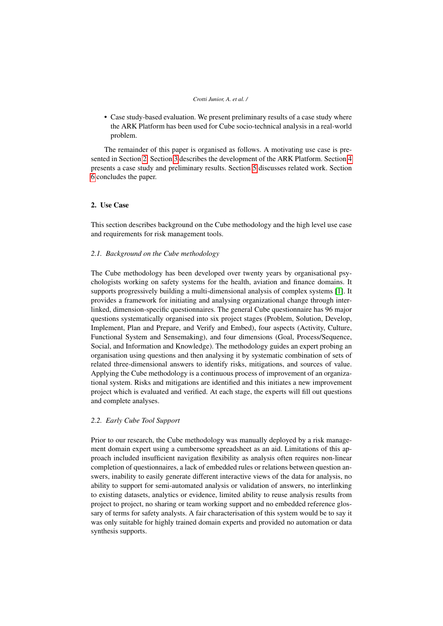• Case study-based evaluation. We present preliminary results of a case study where the ARK Platform has been used for Cube socio-technical analysis in a real-world problem.

The remainder of this paper is organised as follows. A motivating use case is presented in Section [2.](#page-2-0) Section [3](#page-3-0) describes the development of the ARK Platform. Section [4](#page-6-0) presents a case study and preliminary results. Section [5](#page-7-0) discusses related work. Section [6](#page-8-1) concludes the paper.

## <span id="page-2-0"></span>2. Use Case

This section describes background on the Cube methodology and the high level use case and requirements for risk management tools.

#### *2.1. Background on the Cube methodology*

The Cube methodology has been developed over twenty years by organisational psychologists working on safety systems for the health, aviation and finance domains. It supports progressively building a multi-dimensional analysis of complex systems [\[1\]](#page-8-0). It provides a framework for initiating and analysing organizational change through interlinked, dimension-specific questionnaires. The general Cube questionnaire has 96 major questions systematically organised into six project stages (Problem, Solution, Develop, Implement, Plan and Prepare, and Verify and Embed), four aspects (Activity, Culture, Functional System and Sensemaking), and four dimensions (Goal, Process/Sequence, Social, and Information and Knowledge). The methodology guides an expert probing an organisation using questions and then analysing it by systematic combination of sets of related three-dimensional answers to identify risks, mitigations, and sources of value. Applying the Cube methodology is a continuous process of improvement of an organizational system. Risks and mitigations are identified and this initiates a new improvement project which is evaluated and verified. At each stage, the experts will fill out questions and complete analyses.

## *2.2. Early Cube Tool Support*

Prior to our research, the Cube methodology was manually deployed by a risk management domain expert using a cumbersome spreadsheet as an aid. Limitations of this approach included insufficient navigation flexibility as analysis often requires non-linear completion of questionnaires, a lack of embedded rules or relations between question answers, inability to easily generate different interactive views of the data for analysis, no ability to support for semi-automated analysis or validation of answers, no interlinking to existing datasets, analytics or evidence, limited ability to reuse analysis results from project to project, no sharing or team working support and no embedded reference glossary of terms for safety analysts. A fair characterisation of this system would be to say it was only suitable for highly trained domain experts and provided no automation or data synthesis supports.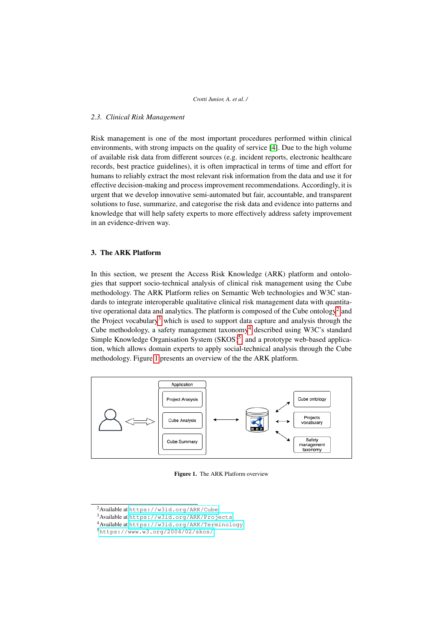## *2.3. Clinical Risk Management*

Risk management is one of the most important procedures performed within clinical environments, with strong impacts on the quality of service [\[4\]](#page-9-2). Due to the high volume of available risk data from different sources (e.g. incident reports, electronic healthcare records, best practice guidelines), it is often impractical in terms of time and effort for humans to reliably extract the most relevant risk information from the data and use it for effective decision-making and process improvement recommendations. Accordingly, it is urgent that we develop innovative semi-automated but fair, accountable, and transparent solutions to fuse, summarize, and categorise the risk data and evidence into patterns and knowledge that will help safety experts to more effectively address safety improvement in an evidence-driven way.

# <span id="page-3-0"></span>3. The ARK Platform

In this section, we present the Access Risk Knowledge (ARK) platform and ontologies that support socio-technical analysis of clinical risk management using the Cube methodology. The ARK Platform relies on Semantic Web technologies and W3C standards to integrate interoperable qualitative clinical risk management data with quantita-tive operational data and analytics. The platform is composed of the Cube ontology<sup>[2](#page-3-1)</sup> and the Project vocabulary<sup>[3](#page-3-2)</sup> which is used to support data capture and analysis through the Cube methodology, a safety management taxonomy<sup>[4](#page-3-3)</sup> described using W3C's standard Simple Knowledge Organisation System  $(SKOS)^5$  $(SKOS)^5$ , and a prototype web-based application, which allows domain experts to apply social-technical analysis through the Cube methodology. Figure [1](#page-3-5) presents an overview of the the ARK platform.

<span id="page-3-5"></span>

Figure 1. The ARK Platform overview

<span id="page-3-1"></span><sup>2</sup>Available at <https://w3id.org/ARK/Cube>.

<span id="page-3-2"></span><sup>3</sup>Available at <https://w3id.org/ARK/Projects>.

<span id="page-3-3"></span><sup>4</sup>Available at <https://w3id.org/ARK/Terminology>.

<span id="page-3-4"></span><sup>5</sup><https://www.w3.org/2004/02/skos/>.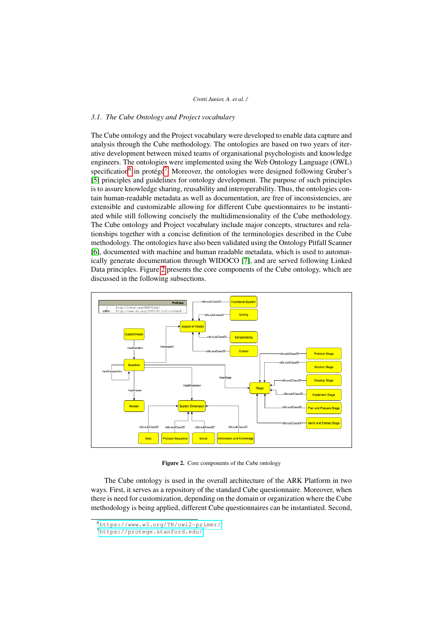# *3.1. The Cube Ontology and Project vocabulary*

The Cube ontology and the Project vocabulary were developed to enable data capture and analysis through the Cube methodology. The ontologies are based on two years of iterative development between mixed teams of organisational psychologists and knowledge engineers. The ontologies were implemented using the Web Ontology Language (OWL) specification<sup>[6](#page-4-0)</sup> in protégé<sup>[7](#page-4-1)</sup>. Moreover, the ontologies were designed following Gruber's [\[5\]](#page-9-3) principles and guidelines for ontology development. The purpose of such principles is to assure knowledge sharing, reusability and interoperability. Thus, the ontologies contain human-readable metadata as well as documentation, are free of inconsistencies, are extensible and customizable allowing for different Cube questionnaires to be instantiated while still following concisely the multidimensionality of the Cube methodology. The Cube ontology and Project vocabulary include major concepts, structures and relationships together with a concise definition of the terminologies described in the Cube methodology. The ontologies have also been validated using the Ontology Pitfall Scanner [\[6\]](#page-9-4), documented with machine and human readable metadata, which is used to automatically generate documentation through WIDOCO [\[7\]](#page-9-5), and are served following Linked Data principles. Figure [2](#page-4-2) presents the core components of the Cube ontology, which are discussed in the following subsections.

<span id="page-4-2"></span>

Figure 2. Core components of the Cube ontology

The Cube ontology is used in the overall architecture of the ARK Platform in two ways. First, it serves as a repository of the standard Cube questionnaire. Moreover, when there is need for customization, depending on the domain or organization where the Cube methodology is being applied, different Cube questionnaires can be instantiated. Second,

<span id="page-4-0"></span><sup>6</sup><https://www.w3.org/TR/owl2-primer/>

<span id="page-4-1"></span><sup>7</sup><https://protege.stanford.edu/>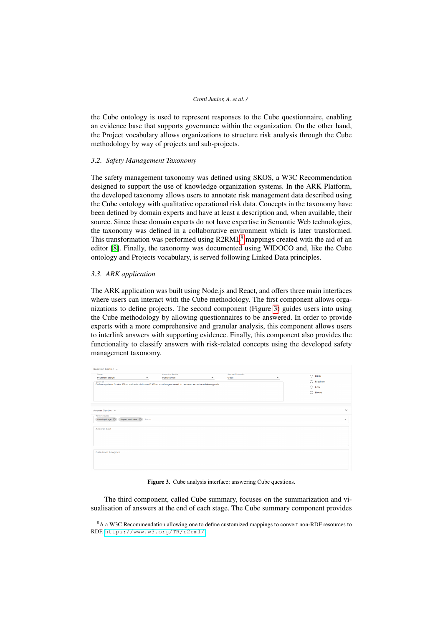the Cube ontology is used to represent responses to the Cube questionnaire, enabling an evidence base that supports governance within the organization. On the other hand, the Project vocabulary allows organizations to structure risk analysis through the Cube methodology by way of projects and sub-projects.

#### *3.2. Safety Management Taxonomy*

The safety management taxonomy was defined using SKOS, a W3C Recommendation designed to support the use of knowledge organization systems. In the ARK Platform, the developed taxonomy allows users to annotate risk management data described using the Cube ontology with qualitative operational risk data. Concepts in the taxonomy have been defined by domain experts and have at least a description and, when available, their source. Since these domain experts do not have expertise in Semantic Web technologies, the taxonomy was defined in a collaborative environment which is later transformed. This transformation was performed using R2RML<sup>[8](#page-5-0)</sup> mappings created with the aid of an editor [\[8\]](#page-9-6). Finally, the taxonomy was documented using WIDOCO and, like the Cube ontology and Projects vocabulary, is served following Linked Data principles.

# *3.3. ARK application*

The ARK application was built using Node.js and React, and offers three main interfaces where users can interact with the Cube methodology. The first component allows organizations to define projects. The second component (Figure [3\)](#page-5-1) guides users into using the Cube methodology by allowing questionnaires to be answered. In order to provide experts with a more comprehensive and granular analysis, this component allows users to interlink answers with supporting evidence. Finally, this component also provides the functionality to classify answers with risk-related concepts using the developed safety management taxonomy.

<span id="page-5-1"></span>

| Question Section ~                                                                                                                       |      |                                        |   |                                 |              |                                                                           |                          |
|------------------------------------------------------------------------------------------------------------------------------------------|------|----------------------------------------|---|---------------------------------|--------------|---------------------------------------------------------------------------|--------------------------|
| Stage<br>ProblemStage<br>Question<br>Define system Goals. What value is delivered? What challenges need to be overcome to achieve goals. | ٠    | <b>Aspect of Reality</b><br>Functional | ٠ | <b>System Dimension</b><br>Goal | $\checkmark$ | $\bigcirc$ High<br>$\bigcirc$ Medium<br>$\bigcirc$ Low<br>$\bigcirc$ None |                          |
| Answer Section A                                                                                                                         |      |                                        |   |                                 |              |                                                                           | $\times$                 |
| Terminologies<br>Report evaluator<br>DevelopStage <sup>@</sup>                                                                           | Term |                                        |   |                                 |              |                                                                           | $\overline{\phantom{a}}$ |
| Answer Text                                                                                                                              |      |                                        |   |                                 |              |                                                                           |                          |
| <b>Data from Analytics</b>                                                                                                               |      |                                        |   |                                 |              |                                                                           |                          |

Figure 3. Cube analysis interface: answering Cube questions.

The third component, called Cube summary, focuses on the summarization and visualisation of answers at the end of each stage. The Cube summary component provides

<span id="page-5-0"></span><sup>&</sup>lt;sup>8</sup>A a W3C Recommendation allowing one to define customized mappings to convert non-RDF resources to RDF. <https://www.w3.org/TR/r2rml/>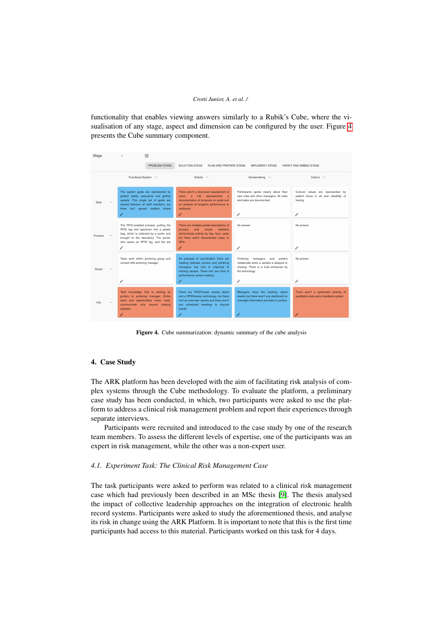functionality that enables viewing answers similarly to a Rubik's Cube, where the visualisation of any stage, aspect and dimension can be configured by the user. Figure [4](#page-6-1) presents the Cube summary component.

<span id="page-6-1"></span>

Figure 4. Cube summarization: dynamic summary of the cube analysis

# <span id="page-6-0"></span>4. Case Study

The ARK platform has been developed with the aim of facilitating risk analysis of complex systems through the Cube methodology. To evaluate the platform, a preliminary case study has been conducted, in which, two participants were asked to use the platform to address a clinical risk management problem and report their experiences through separate interviews.

Participants were recruited and introduced to the case study by one of the research team members. To assess the different levels of expertise, one of the participants was an expert in risk management, while the other was a non-expert user.

## *4.1. Experiment Task: The Clinical Risk Management Case*

The task participants were asked to perform was related to a clinical risk management case which had previously been described in an MSc thesis [\[9\]](#page-9-7). The thesis analysed the impact of collective leadership approaches on the integration of electronic health record systems. Participants were asked to study the aforementioned thesis, and analyse its risk in change using the ARK Platform. It is important to note that this is the first time participants had access to this material. Participants worked on this task for 4 days.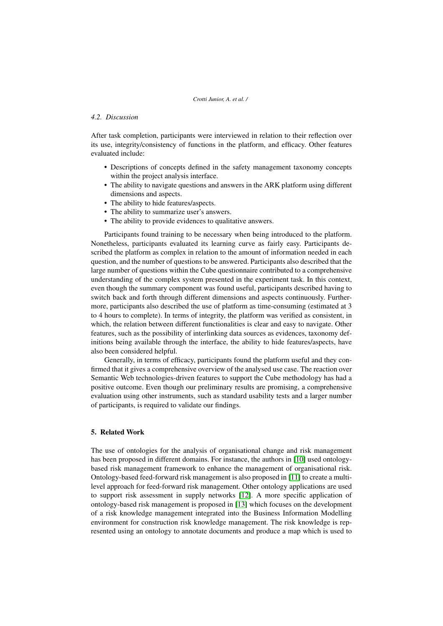# *4.2. Discussion*

After task completion, participants were interviewed in relation to their reflection over its use, integrity/consistency of functions in the platform, and efficacy. Other features evaluated include:

- Descriptions of concepts defined in the safety management taxonomy concepts within the project analysis interface.
- The ability to navigate questions and answers in the ARK platform using different dimensions and aspects.
- The ability to hide features/aspects.
- The ability to summarize user's answers.
- The ability to provide evidences to qualitative answers.

Participants found training to be necessary when being introduced to the platform. Nonetheless, participants evaluated its learning curve as fairly easy. Participants described the platform as complex in relation to the amount of information needed in each question, and the number of questions to be answered. Participants also described that the large number of questions within the Cube questionnaire contributed to a comprehensive understanding of the complex system presented in the experiment task. In this context, even though the summary component was found useful, participants described having to switch back and forth through different dimensions and aspects continuously. Furthermore, participants also described the use of platform as time-consuming (estimated at 3 to 4 hours to complete). In terms of integrity, the platform was verified as consistent, in which, the relation between different functionalities is clear and easy to navigate. Other features, such as the possibility of interlinking data sources as evidences, taxonomy definitions being available through the interface, the ability to hide features/aspects, have also been considered helpful.

Generally, in terms of efficacy, participants found the platform useful and they confirmed that it gives a comprehensive overview of the analysed use case. The reaction over Semantic Web technologies-driven features to support the Cube methodology has had a positive outcome. Even though our preliminary results are promising, a comprehensive evaluation using other instruments, such as standard usability tests and a larger number of participants, is required to validate our findings.

# <span id="page-7-0"></span>5. Related Work

The use of ontologies for the analysis of organisational change and risk management has been proposed in different domains. For instance, the authors in [\[10\]](#page-9-8) used ontologybased risk management framework to enhance the management of organisational risk. Ontology-based feed-forward risk management is also proposed in [\[11\]](#page-9-9) to create a multilevel approach for feed-forward risk management. Other ontology applications are used to support risk assessment in supply networks [\[12\]](#page-9-10). A more specific application of ontology-based risk management is proposed in [\[13\]](#page-9-11) which focuses on the development of a risk knowledge management integrated into the Business Information Modelling environment for construction risk knowledge management. The risk knowledge is represented using an ontology to annotate documents and produce a map which is used to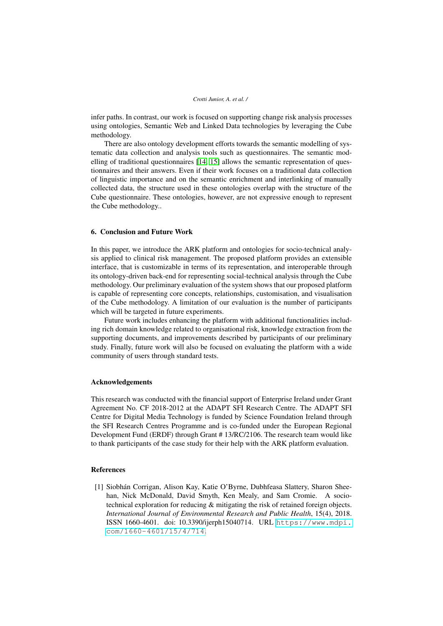infer paths. In contrast, our work is focused on supporting change risk analysis processes using ontologies, Semantic Web and Linked Data technologies by leveraging the Cube methodology.

There are also ontology development efforts towards the semantic modelling of systematic data collection and analysis tools such as questionnaires. The semantic modelling of traditional questionnaires [\[14,](#page-9-12) [15\]](#page-9-13) allows the semantic representation of questionnaires and their answers. Even if their work focuses on a traditional data collection of linguistic importance and on the semantic enrichment and interlinking of manually collected data, the structure used in these ontologies overlap with the structure of the Cube questionnaire. These ontologies, however, are not expressive enough to represent the Cube methodology..

## <span id="page-8-1"></span>6. Conclusion and Future Work

In this paper, we introduce the ARK platform and ontologies for socio-technical analysis applied to clinical risk management. The proposed platform provides an extensible interface, that is customizable in terms of its representation, and interoperable through its ontology-driven back-end for representing social-technical analysis through the Cube methodology. Our preliminary evaluation of the system shows that our proposed platform is capable of representing core concepts, relationships, customisation, and visualisation of the Cube methodology. A limitation of our evaluation is the number of participants which will be targeted in future experiments.

Future work includes enhancing the platform with additional functionalities including rich domain knowledge related to organisational risk, knowledge extraction from the supporting documents, and improvements described by participants of our preliminary study. Finally, future work will also be focused on evaluating the platform with a wide community of users through standard tests.

## Acknowledgements

This research was conducted with the financial support of Enterprise Ireland under Grant Agreement No. CF 2018-2012 at the ADAPT SFI Research Centre. The ADAPT SFI Centre for Digital Media Technology is funded by Science Foundation Ireland through the SFI Research Centres Programme and is co-funded under the European Regional Development Fund (ERDF) through Grant # 13/RC/2106. The research team would like to thank participants of the case study for their help with the ARK platform evaluation.

# References

<span id="page-8-0"></span>[1] Siobhan Corrigan, Alison Kay, Katie O'Byrne, Dubhfeasa Slattery, Sharon Shee- ´ han, Nick McDonald, David Smyth, Ken Mealy, and Sam Cromie. A sociotechnical exploration for reducing & mitigating the risk of retained foreign objects. *International Journal of Environmental Research and Public Health*, 15(4), 2018. ISSN 1660-4601. doi: 10.3390/ijerph15040714. URL [https://www.mdpi.](https://www.mdpi.com/1660-4601/15/4/714) [com/1660-4601/15/4/714](https://www.mdpi.com/1660-4601/15/4/714).